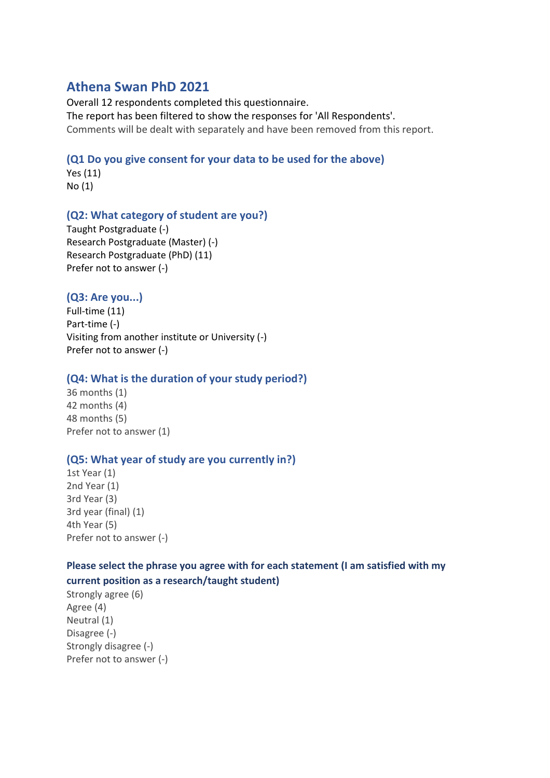## **Athena Swan PhD 2021**

Overall 12 respondents completed this questionnaire. The report has been filtered to show the responses for 'All Respondents'. Comments will be dealt with separately and have been removed from this report.

### **(Q1 Do you give consent for your data to be used for the above)**

Yes (11) No (1)

### **(Q2: What category of student are you?)**

Taught Postgraduate (-) Research Postgraduate (Master) (-) Research Postgraduate (PhD) (11) Prefer not to answer (-)

## **(Q3: Are you...)**

Full-time (11) Part-time (-) Visiting from another institute or University (-) Prefer not to answer (-)

### **(Q4: What is the duration of your study period?)**

36 months (1) 42 months (4) 48 months (5) Prefer not to answer (1)

### **(Q5: What year of study are you currently in?)**

1st Year (1) 2nd Year (1) 3rd Year (3) 3rd year (final) (1) 4th Year (5) Prefer not to answer (-)

### **Please select the phrase you agree with for each statement (I am satisfied with my**

#### **current position as a research/taught student)**

Strongly agree (6) Agree (4) Neutral (1) Disagree (-) Strongly disagree (-) Prefer not to answer (-)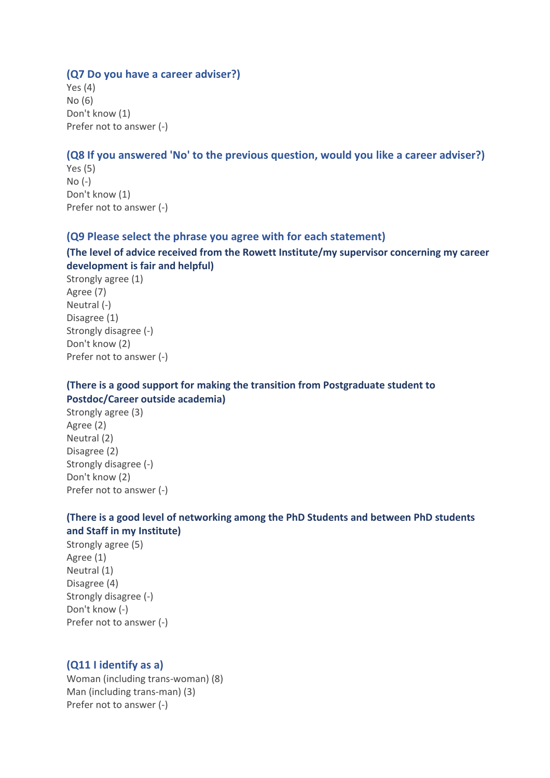#### **(Q7 Do you have a career adviser?)**

Yes (4) No (6) Don't know (1) Prefer not to answer (-)

#### **(Q8 If you answered 'No' to the previous question, would you like a career adviser?)**

Yes (5) No (-) Don't know (1) Prefer not to answer (-)

#### **(Q9 Please select the phrase you agree with for each statement)**

### **(The level of advice received from the Rowett Institute/my supervisor concerning my career development is fair and helpful)**

Strongly agree (1) Agree (7) Neutral (-) Disagree (1) Strongly disagree (-) Don't know (2) Prefer not to answer (-)

### **(There is a good support for making the transition from Postgraduate student to Postdoc/Career outside academia)**

Strongly agree (3) Agree (2) Neutral (2) Disagree (2) Strongly disagree (-) Don't know (2) Prefer not to answer (-)

### **(There is a good level of networking among the PhD Students and between PhD students and Staff in my Institute)**

Strongly agree (5) Agree (1) Neutral (1) Disagree (4) Strongly disagree (-) Don't know (-) Prefer not to answer (-)

### **(Q11 I identify as a)**

Woman (including trans-woman) (8) Man (including trans-man) (3) Prefer not to answer (-)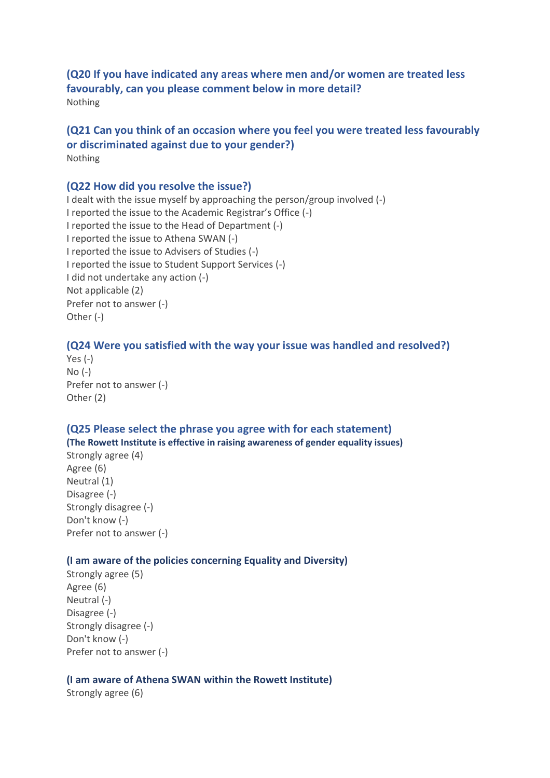### **(Q20 If you have indicated any areas where men and/or women are treated less favourably, can you please comment below in more detail?** Nothing

### **(Q21 Can you think of an occasion where you feel you were treated less favourably or discriminated against due to your gender?)** Nothing

### **(Q22 How did you resolve the issue?)**

I dealt with the issue myself by approaching the person/group involved (-) I reported the issue to the Academic Registrar's Office (-) I reported the issue to the Head of Department (-) I reported the issue to Athena SWAN (-) I reported the issue to Advisers of Studies (-) I reported the issue to Student Support Services (-) I did not undertake any action (-) Not applicable (2) Prefer not to answer (-) Other (-)

### **(Q24 Were you satisfied with the way your issue was handled and resolved?)**

```
Yes (-)
No (-)
Prefer not to answer (-)
Other (2)
```
### **(Q25 Please select the phrase you agree with for each statement) (The Rowett Institute is effective in raising awareness of gender equality issues)**

Strongly agree (4) Agree (6) Neutral (1) Disagree (-) Strongly disagree (-) Don't know (-) Prefer not to answer (-)

### **(I am aware of the policies concerning Equality and Diversity)**

Strongly agree (5) Agree (6) Neutral (-) Disagree (-) Strongly disagree (-) Don't know (-) Prefer not to answer (-)

#### **(I am aware of Athena SWAN within the Rowett Institute)**

Strongly agree (6)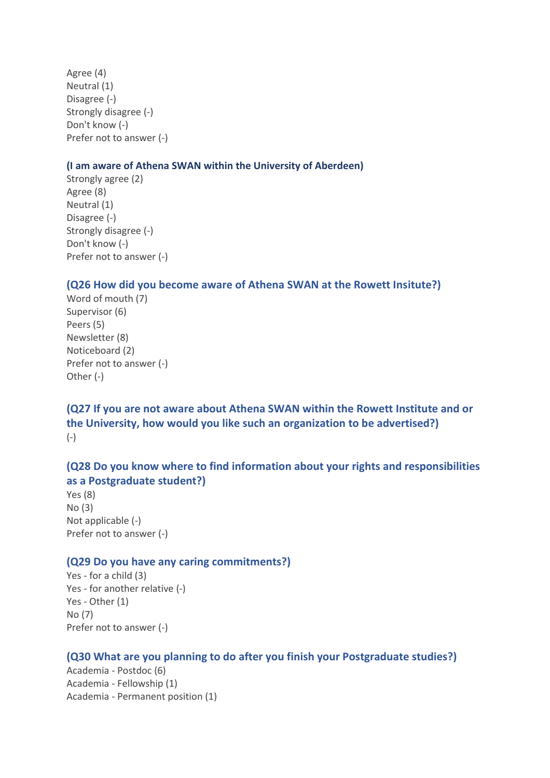Agree (4) Neutral (1) Disagree (-) Strongly disagree (-) Don't know (-) Prefer not to answer (-)

#### **(I am aware of Athena SWAN within the University of Aberdeen)**

Strongly agree (2) Agree (8) Neutral (1) Disagree (-) Strongly disagree (-) Don't know (-) Prefer not to answer (-)

#### **(Q26 How did you become aware of Athena SWAN at the Rowett Insitute?)**

Word of mouth (7) Supervisor (6) Peers (5) Newsletter (8) Noticeboard (2) Prefer not to answer (-) Other (-)

**(Q27 If you are not aware about Athena SWAN within the Rowett Institute and or the University, how would you like such an organization to be advertised?)** (-)

## **(Q28 Do you know where to find information about your rights and responsibilities as a Postgraduate student?)**

Yes (8) No (3) Not applicable (-) Prefer not to answer (-)

### **(Q29 Do you have any caring commitments?)**

Yes - for a child (3) Yes - for another relative (-) Yes - Other (1) No (7) Prefer not to answer (-)

### **(Q30 What are you planning to do after you finish your Postgraduate studies?)**

Academia - Postdoc (6) Academia - Fellowship (1) Academia - Permanent position (1)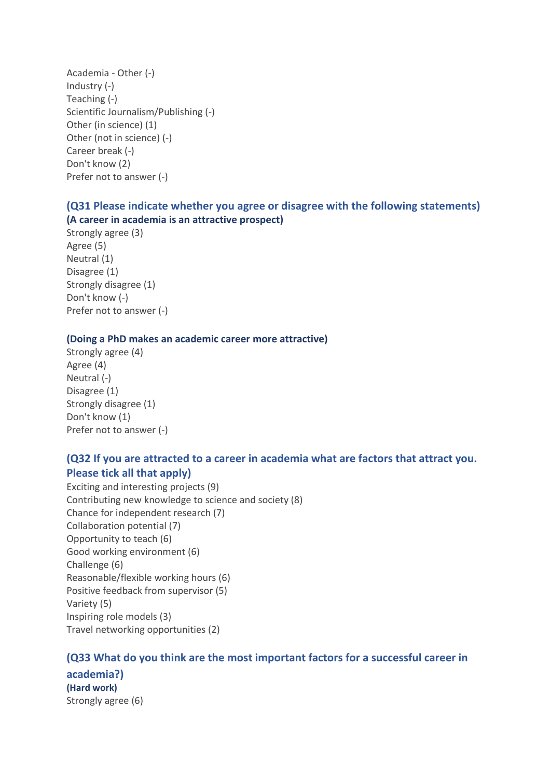Academia - Other (-) Industry (-) Teaching (-) Scientific Journalism/Publishing (-) Other (in science) (1) Other (not in science) (-) Career break (-) Don't know (2) Prefer not to answer (-)

## **(Q31 Please indicate whether you agree or disagree with the following statements) (A career in academia is an attractive prospect)**

Strongly agree (3) Agree (5) Neutral (1) Disagree (1) Strongly disagree (1) Don't know (-) Prefer not to answer (-)

### **(Doing a PhD makes an academic career more attractive)**

Strongly agree (4) Agree (4) Neutral (-) Disagree (1) Strongly disagree (1) Don't know (1) Prefer not to answer (-)

## **(Q32 If you are attracted to a career in academia what are factors that attract you. Please tick all that apply)**

Exciting and interesting projects (9) Contributing new knowledge to science and society (8) Chance for independent research (7) Collaboration potential (7) Opportunity to teach (6) Good working environment (6) Challenge (6) Reasonable/flexible working hours (6) Positive feedback from supervisor (5) Variety (5) Inspiring role models (3) Travel networking opportunities (2)

### **(Q33 What do you think are the most important factors for a successful career in**

**academia?) (Hard work)**  Strongly agree (6)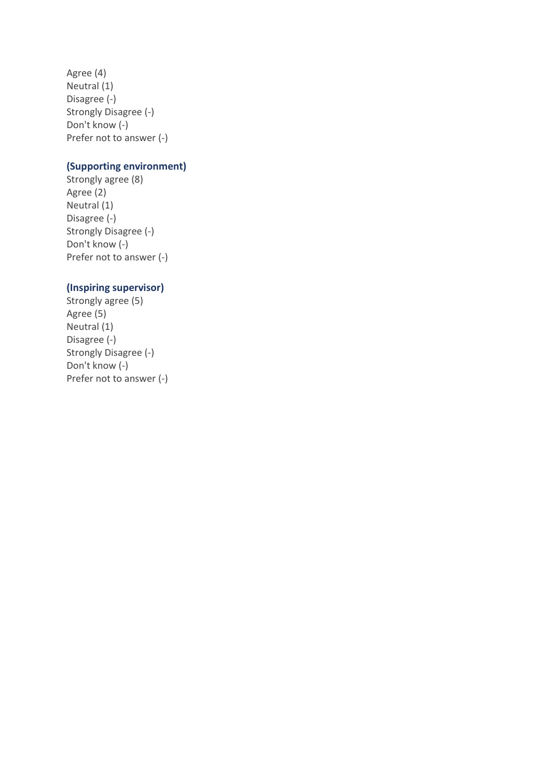Agree (4) Neutral (1) Disagree (-) Strongly Disagree (-) Don't know (-) Prefer not to answer (-)

### **(Supporting environment)**

Strongly agree (8) Agree (2) Neutral (1) Disagree (-) Strongly Disagree (-) Don't know (-) Prefer not to answer (-)

### **(Inspiring supervisor)**

Strongly agree (5) Agree (5) Neutral (1) Disagree (-) Strongly Disagree (-) Don't know (-) Prefer not to answer (-)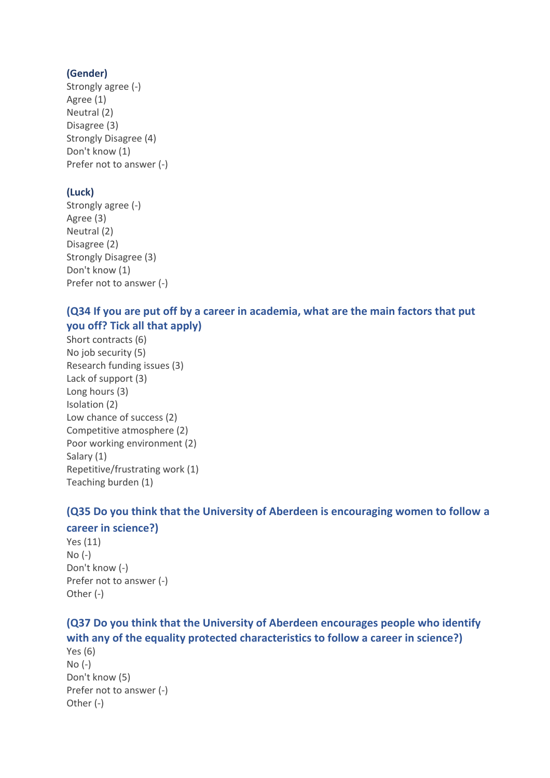## **(Gender)**

Strongly agree (-) Agree (1) Neutral (2) Disagree (3) Strongly Disagree (4) Don't know (1) Prefer not to answer (-)

## **(Luck)**

Strongly agree (-) Agree (3) Neutral (2) Disagree (2) Strongly Disagree (3) Don't know (1) Prefer not to answer (-)

# **(Q34 If you are put off by a career in academia, what are the main factors that put you off? Tick all that apply)**

Short contracts (6) No job security (5) Research funding issues (3) Lack of support (3) Long hours (3) Isolation (2) Low chance of success (2) Competitive atmosphere (2) Poor working environment (2) Salary (1) Repetitive/frustrating work (1) Teaching burden (1)

# **(Q35 Do you think that the University of Aberdeen is encouraging women to follow a**

### **career in science?)**

Yes (11) No (-) Don't know (-) Prefer not to answer (-) Other (-)

# **(Q37 Do you think that the University of Aberdeen encourages people who identify with any of the equality protected characteristics to follow a career in science?)**

Yes (6) No (-) Don't know (5) Prefer not to answer (-) Other (-)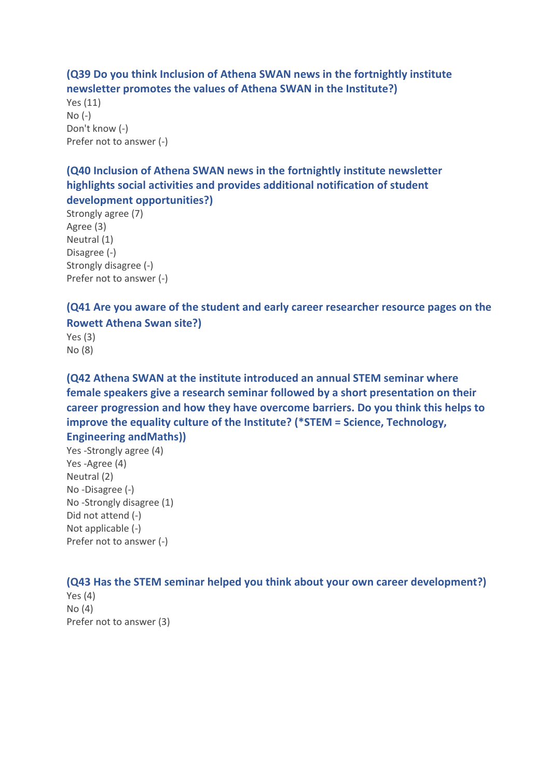## **(Q39 Do you think Inclusion of Athena SWAN news in the fortnightly institute newsletter promotes the values of Athena SWAN in the Institute?)**

Yes (11) No (-) Don't know (-) Prefer not to answer (-)

## **(Q40 Inclusion of Athena SWAN news in the fortnightly institute newsletter highlights social activities and provides additional notification of student development opportunities?)**

Strongly agree (7) Agree (3) Neutral (1) Disagree (-) Strongly disagree (-) Prefer not to answer (-)

# **(Q41 Are you aware of the student and early career researcher resource pages on the Rowett Athena Swan site?)**

Yes (3) No (8)

**(Q42 Athena SWAN at the institute introduced an annual STEM seminar where female speakers give a research seminar followed by a short presentation on their career progression and how they have overcome barriers. Do you think this helps to improve the equality culture of the Institute? (\*STEM = Science, Technology, Engineering andMaths))**

Yes -Strongly agree (4) Yes -Agree (4) Neutral (2) No -Disagree (-) No -Strongly disagree (1) Did not attend (-) Not applicable (-) Prefer not to answer (-)

## **(Q43 Has the STEM seminar helped you think about your own career development?)**

Yes (4) No (4) Prefer not to answer (3)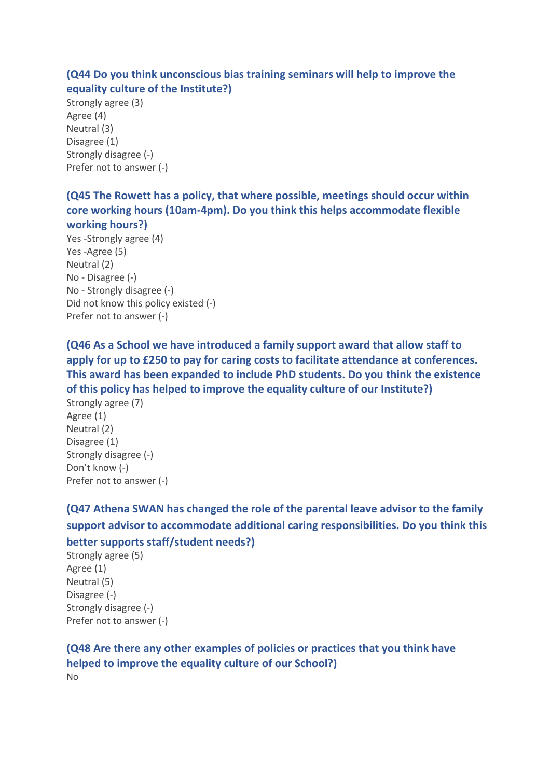## **(Q44 Do you think unconscious bias training seminars will help to improve the equality culture of the Institute?)**

Strongly agree (3) Agree (4) Neutral (3) Disagree (1) Strongly disagree (-) Prefer not to answer (-)

**(Q45 The Rowett has a policy, that where possible, meetings should occur within core working hours (10am-4pm). Do you think this helps accommodate flexible working hours?)**

Yes -Strongly agree (4) Yes -Agree (5) Neutral (2) No - Disagree (-) No - Strongly disagree (-) Did not know this policy existed (-) Prefer not to answer (-)

**(Q46 As a School we have introduced a family support award that allow staff to apply for up to £250 to pay for caring costs to facilitate attendance at conferences. This award has been expanded to include PhD students. Do you think the existence of this policy has helped to improve the equality culture of our Institute?)**

Strongly agree (7) Agree (1) Neutral (2) Disagree (1) Strongly disagree (-) Don't know (-) Prefer not to answer (-)

**(Q47 Athena SWAN has changed the role of the parental leave advisor to the family support advisor to accommodate additional caring responsibilities. Do you think this**

**better supports staff/student needs?)**

Strongly agree (5) Agree (1) Neutral (5) Disagree (-) Strongly disagree (-) Prefer not to answer (-)

**(Q48 Are there any other examples of policies or practices that you think have helped to improve the equality culture of our School?)** No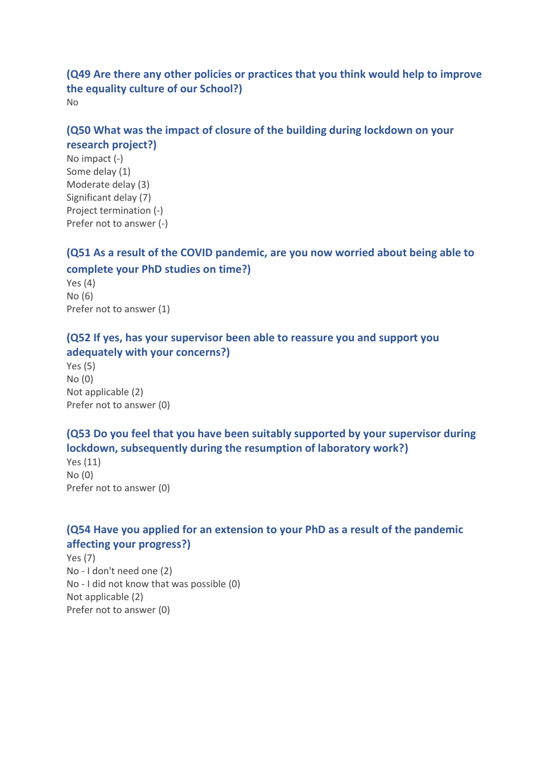**(Q49 Are there any other policies or practices that you think would help to improve the equality culture of our School?)** No

## **(Q50 What was the impact of closure of the building during lockdown on your research project?)**

No impact (-) Some delay (1) Moderate delay (3) Significant delay (7) Project termination (-) Prefer not to answer (-)

# **(Q51 As a result of the COVID pandemic, are you now worried about being able to complete your PhD studies on time?)**

Yes (4) No (6) Prefer not to answer (1)

## **(Q52 If yes, has your supervisor been able to reassure you and support you adequately with your concerns?)**

Yes (5) No (0) Not applicable (2) Prefer not to answer (0)

# **(Q53 Do you feel that you have been suitably supported by your supervisor during lockdown, subsequently during the resumption of laboratory work?)**

Yes (11) No (0) Prefer not to answer (0)

# **(Q54 Have you applied for an extension to your PhD as a result of the pandemic affecting your progress?)**

Yes (7) No - I don't need one (2) No - I did not know that was possible (0) Not applicable (2) Prefer not to answer (0)